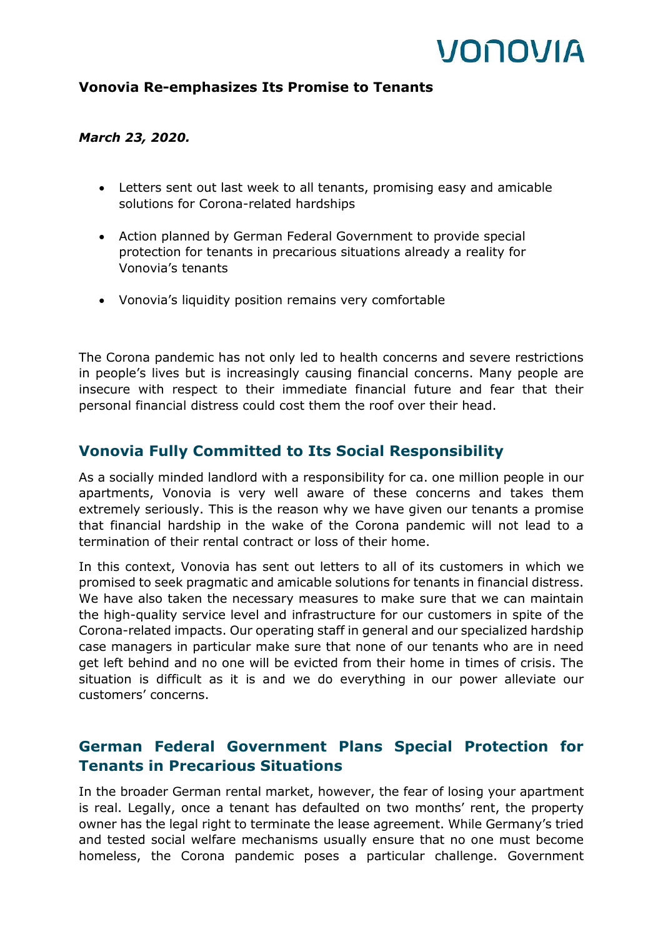# VONOVIA

#### **Vonovia Re-emphasizes Its Promise to Tenants**

#### *March 23, 2020.*

- Letters sent out last week to all tenants, promising easy and amicable solutions for Corona-related hardships
- Action planned by German Federal Government to provide special protection for tenants in precarious situations already a reality for Vonovia's tenants
- Vonovia's liquidity position remains very comfortable

The Corona pandemic has not only led to health concerns and severe restrictions in people's lives but is increasingly causing financial concerns. Many people are insecure with respect to their immediate financial future and fear that their personal financial distress could cost them the roof over their head.

### **Vonovia Fully Committed to Its Social Responsibility**

As a socially minded landlord with a responsibility for ca. one million people in our apartments, Vonovia is very well aware of these concerns and takes them extremely seriously. This is the reason why we have given our tenants a promise that financial hardship in the wake of the Corona pandemic will not lead to a termination of their rental contract or loss of their home.

In this context, Vonovia has sent out letters to all of its customers in which we promised to seek pragmatic and amicable solutions for tenants in financial distress. We have also taken the necessary measures to make sure that we can maintain the high-quality service level and infrastructure for our customers in spite of the Corona-related impacts. Our operating staff in general and our specialized hardship case managers in particular make sure that none of our tenants who are in need get left behind and no one will be evicted from their home in times of crisis. The situation is difficult as it is and we do everything in our power alleviate our customers' concerns.

## **German Federal Government Plans Special Protection for Tenants in Precarious Situations**

In the broader German rental market, however, the fear of losing your apartment is real. Legally, once a tenant has defaulted on two months' rent, the property owner has the legal right to terminate the lease agreement. While Germany's tried and tested social welfare mechanisms usually ensure that no one must become homeless, the Corona pandemic poses a particular challenge. Government